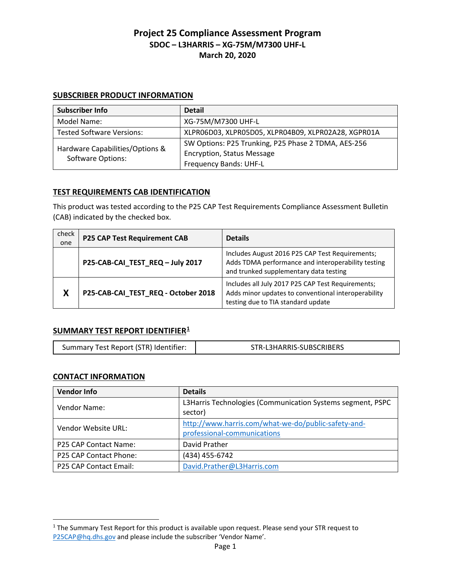#### **SUBSCRIBER PRODUCT INFORMATION**

| Subscriber Info                                             | <b>Detail</b>                                       |
|-------------------------------------------------------------|-----------------------------------------------------|
| Model Name:                                                 | XG-75M/M7300 UHF-L                                  |
| <b>Tested Software Versions:</b>                            | XLPR06D03, XLPR05D05, XLPR04B09, XLPR02A28, XGPR01A |
| Hardware Capabilities/Options &<br><b>Software Options:</b> | SW Options: P25 Trunking, P25 Phase 2 TDMA, AES-256 |
|                                                             | <b>Encryption, Status Message</b>                   |
|                                                             | <b>Frequency Bands: UHF-L</b>                       |

### **TEST REQUIREMENTS CAB IDENTIFICATION**

This product was tested according to the P25 CAP Test Requirements Compliance Assessment Bulletin (CAB) indicated by the checked box.

| check<br>one | P25 CAP Test Requirement CAB        | <b>Details</b>                                                                                                                                  |
|--------------|-------------------------------------|-------------------------------------------------------------------------------------------------------------------------------------------------|
|              | P25-CAB-CAI_TEST_REQ - July 2017    | Includes August 2016 P25 CAP Test Requirements;<br>Adds TDMA performance and interoperability testing<br>and trunked supplementary data testing |
| X            | P25-CAB-CAI_TEST_REQ - October 2018 | Includes all July 2017 P25 CAP Test Requirements;<br>Adds minor updates to conventional interoperability<br>testing due to TIA standard update  |

### **SUMMARY TEST REPORT IDENTIFIER1**

| Summary Test Report (STR) Identifier: | STR-L3HARRIS-SUBSCRIBERS |
|---------------------------------------|--------------------------|
|                                       |                          |

### **CONTACT INFORMATION**

 $\overline{a}$ 

| <b>Vendor Info</b>            | <b>Details</b>                                                                     |
|-------------------------------|------------------------------------------------------------------------------------|
| Vendor Name:                  | L3Harris Technologies (Communication Systems segment, PSPC<br>sector)              |
| Vendor Website URL:           | http://www.harris.com/what-we-do/public-safety-and-<br>professional-communications |
| P25 CAP Contact Name:         | David Prather                                                                      |
| P25 CAP Contact Phone:        | (434) 455-6742                                                                     |
| <b>P25 CAP Contact Email:</b> | David.Prather@L3Harris.com                                                         |

<sup>&</sup>lt;sup>1</sup> The Summary Test Report for this product is available upon request. Please send your STR request to [P25CAP@hq.dhs.gov](mailto:P25CAP@hq.dhs.gov) and please include the subscriber 'Vendor Name'.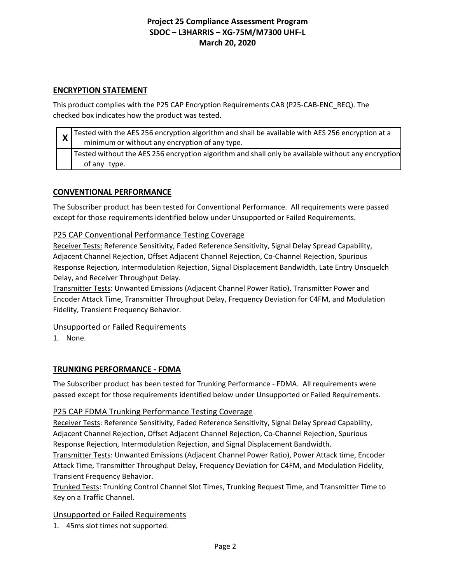### **ENCRYPTION STATEMENT**

This product complies with the P25 CAP Encryption Requirements CAB (P25-CAB-ENC\_REQ). The checked box indicates how the product was tested.

| $\mathbf{A}$ | Tested with the AES 256 encryption algorithm and shall be available with AES 256 encryption at a<br>minimum or without any encryption of any type. |
|--------------|----------------------------------------------------------------------------------------------------------------------------------------------------|
|              | Tested without the AES 256 encryption algorithm and shall only be available without any encryption<br>of any type.                                 |

### **CONVENTIONAL PERFORMANCE**

The Subscriber product has been tested for Conventional Performance. All requirements were passed except for those requirements identified below under Unsupported or Failed Requirements.

### P25 CAP Conventional Performance Testing Coverage

Receiver Tests: Reference Sensitivity, Faded Reference Sensitivity, Signal Delay Spread Capability, Adjacent Channel Rejection, Offset Adjacent Channel Rejection, Co-Channel Rejection, Spurious Response Rejection, Intermodulation Rejection, Signal Displacement Bandwidth, Late Entry Unsquelch Delay, and Receiver Throughput Delay.

Transmitter Tests: Unwanted Emissions (Adjacent Channel Power Ratio), Transmitter Power and Encoder Attack Time, Transmitter Throughput Delay, Frequency Deviation for C4FM, and Modulation Fidelity, Transient Frequency Behavior.

### Unsupported or Failed Requirements

1. None.

### **TRUNKING PERFORMANCE - FDMA**

The Subscriber product has been tested for Trunking Performance - FDMA. All requirements were passed except for those requirements identified below under Unsupported or Failed Requirements.

### P25 CAP FDMA Trunking Performance Testing Coverage

Receiver Tests: Reference Sensitivity, Faded Reference Sensitivity, Signal Delay Spread Capability, Adjacent Channel Rejection, Offset Adjacent Channel Rejection, Co-Channel Rejection, Spurious Response Rejection, Intermodulation Rejection, and Signal Displacement Bandwidth.

Transmitter Tests: Unwanted Emissions (Adjacent Channel Power Ratio), Power Attack time, Encoder Attack Time, Transmitter Throughput Delay, Frequency Deviation for C4FM, and Modulation Fidelity, Transient Frequency Behavior.

Trunked Tests: Trunking Control Channel Slot Times, Trunking Request Time, and Transmitter Time to Key on a Traffic Channel.

### Unsupported or Failed Requirements

1. 45ms slot times not supported.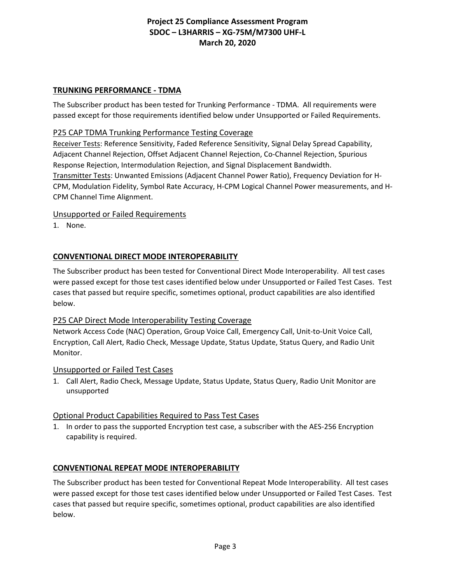#### **TRUNKING PERFORMANCE - TDMA**

The Subscriber product has been tested for Trunking Performance - TDMA. All requirements were passed except for those requirements identified below under Unsupported or Failed Requirements.

### P25 CAP TDMA Trunking Performance Testing Coverage

Receiver Tests: Reference Sensitivity, Faded Reference Sensitivity, Signal Delay Spread Capability, Adjacent Channel Rejection, Offset Adjacent Channel Rejection, Co-Channel Rejection, Spurious Response Rejection, Intermodulation Rejection, and Signal Displacement Bandwidth. Transmitter Tests: Unwanted Emissions (Adjacent Channel Power Ratio), Frequency Deviation for H-CPM, Modulation Fidelity, Symbol Rate Accuracy, H-CPM Logical Channel Power measurements, and H-CPM Channel Time Alignment.

#### Unsupported or Failed Requirements

1. None.

### **CONVENTIONAL DIRECT MODE INTEROPERABILITY**

The Subscriber product has been tested for Conventional Direct Mode Interoperability. All test cases were passed except for those test cases identified below under Unsupported or Failed Test Cases. Test cases that passed but require specific, sometimes optional, product capabilities are also identified below.

### P25 CAP Direct Mode Interoperability Testing Coverage

Network Access Code (NAC) Operation, Group Voice Call, Emergency Call, Unit-to-Unit Voice Call, Encryption, Call Alert, Radio Check, Message Update, Status Update, Status Query, and Radio Unit Monitor.

#### Unsupported or Failed Test Cases

1. Call Alert, Radio Check, Message Update, Status Update, Status Query, Radio Unit Monitor are unsupported

#### Optional Product Capabilities Required to Pass Test Cases

1. In order to pass the supported Encryption test case, a subscriber with the AES-256 Encryption capability is required.

### **CONVENTIONAL REPEAT MODE INTEROPERABILITY**

The Subscriber product has been tested for Conventional Repeat Mode Interoperability. All test cases were passed except for those test cases identified below under Unsupported or Failed Test Cases. Test cases that passed but require specific, sometimes optional, product capabilities are also identified below.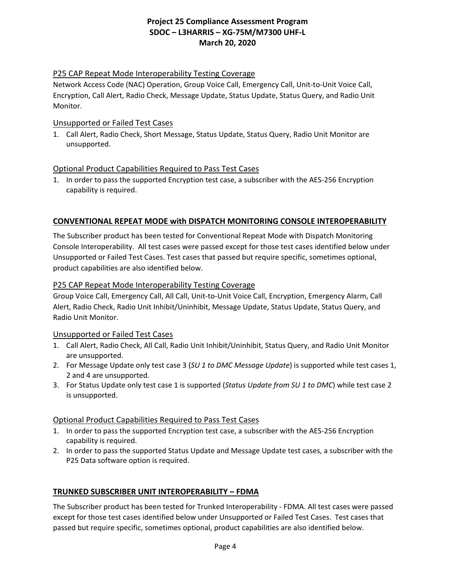### P25 CAP Repeat Mode Interoperability Testing Coverage

Network Access Code (NAC) Operation, Group Voice Call, Emergency Call, Unit-to-Unit Voice Call, Encryption, Call Alert, Radio Check, Message Update, Status Update, Status Query, and Radio Unit Monitor.

### Unsupported or Failed Test Cases

1. Call Alert, Radio Check, Short Message, Status Update, Status Query, Radio Unit Monitor are unsupported.

### Optional Product Capabilities Required to Pass Test Cases

1. In order to pass the supported Encryption test case, a subscriber with the AES-256 Encryption capability is required.

## **CONVENTIONAL REPEAT MODE with DISPATCH MONITORING CONSOLE INTEROPERABILITY**

The Subscriber product has been tested for Conventional Repeat Mode with Dispatch Monitoring Console Interoperability. All test cases were passed except for those test cases identified below under Unsupported or Failed Test Cases. Test cases that passed but require specific, sometimes optional, product capabilities are also identified below.

### P25 CAP Repeat Mode Interoperability Testing Coverage

Group Voice Call, Emergency Call, All Call, Unit-to-Unit Voice Call, Encryption, Emergency Alarm, Call Alert, Radio Check, Radio Unit Inhibit/Uninhibit, Message Update, Status Update, Status Query, and Radio Unit Monitor.

### Unsupported or Failed Test Cases

- 1. Call Alert, Radio Check, All Call, Radio Unit Inhibit/Uninhibit, Status Query, and Radio Unit Monitor are unsupported.
- 2. For Message Update only test case 3 (*SU 1 to DMC Message Update*) is supported while test cases 1, 2 and 4 are unsupported.
- 3. For Status Update only test case 1 is supported (*Status Update from SU 1 to DMC*) while test case 2 is unsupported.

### Optional Product Capabilities Required to Pass Test Cases

- 1. In order to pass the supported Encryption test case, a subscriber with the AES-256 Encryption capability is required.
- 2. In order to pass the supported Status Update and Message Update test cases, a subscriber with the P25 Data software option is required.

### **TRUNKED SUBSCRIBER UNIT INTEROPERABILITY – FDMA**

The Subscriber product has been tested for Trunked Interoperability - FDMA. All test cases were passed except for those test cases identified below under Unsupported or Failed Test Cases. Test cases that passed but require specific, sometimes optional, product capabilities are also identified below.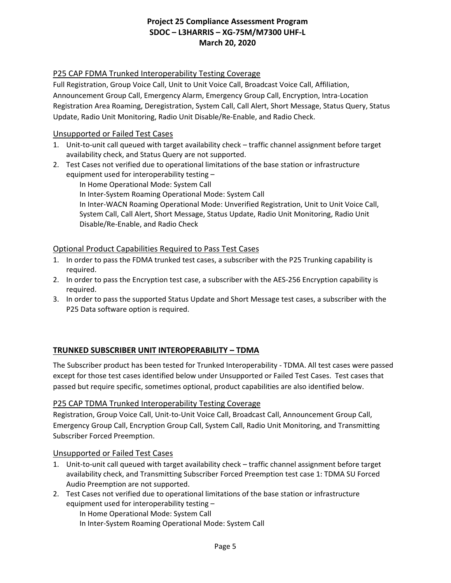### P25 CAP FDMA Trunked Interoperability Testing Coverage

Full Registration, Group Voice Call, Unit to Unit Voice Call, Broadcast Voice Call, Affiliation, Announcement Group Call, Emergency Alarm, Emergency Group Call, Encryption, Intra-Location Registration Area Roaming, Deregistration, System Call, Call Alert, Short Message, Status Query, Status Update, Radio Unit Monitoring, Radio Unit Disable/Re-Enable, and Radio Check.

### Unsupported or Failed Test Cases

- 1. Unit-to-unit call queued with target availability check traffic channel assignment before target availability check, and Status Query are not supported.
- 2. Test Cases not verified due to operational limitations of the base station or infrastructure equipment used for interoperability testing –

In Home Operational Mode: System Call In Inter-System Roaming Operational Mode: System Call In Inter-WACN Roaming Operational Mode: Unverified Registration, Unit to Unit Voice Call, System Call, Call Alert, Short Message, Status Update, Radio Unit Monitoring, Radio Unit

### Disable/Re-Enable, and Radio Check

### Optional Product Capabilities Required to Pass Test Cases

- 1. In order to pass the FDMA trunked test cases, a subscriber with the P25 Trunking capability is required.
- 2. In order to pass the Encryption test case, a subscriber with the AES-256 Encryption capability is required.
- 3. In order to pass the supported Status Update and Short Message test cases, a subscriber with the P25 Data software option is required.

### **TRUNKED SUBSCRIBER UNIT INTEROPERABILITY – TDMA**

The Subscriber product has been tested for Trunked Interoperability - TDMA. All test cases were passed except for those test cases identified below under Unsupported or Failed Test Cases. Test cases that passed but require specific, sometimes optional, product capabilities are also identified below.

### P25 CAP TDMA Trunked Interoperability Testing Coverage

Registration, Group Voice Call, Unit-to-Unit Voice Call, Broadcast Call, Announcement Group Call, Emergency Group Call, Encryption Group Call, System Call, Radio Unit Monitoring, and Transmitting Subscriber Forced Preemption.

### Unsupported or Failed Test Cases

- 1. Unit-to-unit call queued with target availability check traffic channel assignment before target availability check, and Transmitting Subscriber Forced Preemption test case 1: TDMA SU Forced Audio Preemption are not supported.
- 2. Test Cases not verified due to operational limitations of the base station or infrastructure equipment used for interoperability testing –

In Home Operational Mode: System Call

In Inter-System Roaming Operational Mode: System Call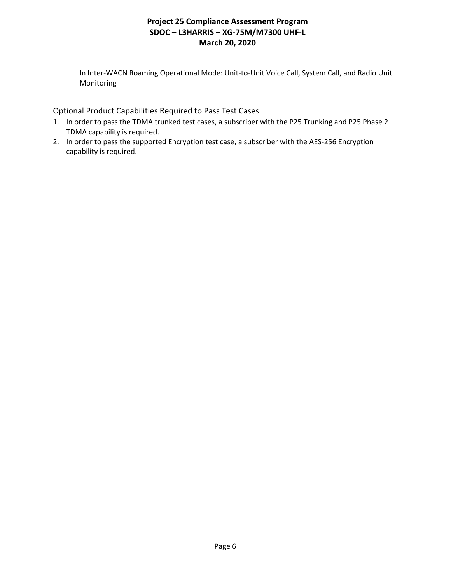In Inter-WACN Roaming Operational Mode: Unit-to-Unit Voice Call, System Call, and Radio Unit Monitoring

### Optional Product Capabilities Required to Pass Test Cases

- 1. In order to pass the TDMA trunked test cases, a subscriber with the P25 Trunking and P25 Phase 2 TDMA capability is required.
- 2. In order to pass the supported Encryption test case, a subscriber with the AES-256 Encryption capability is required.